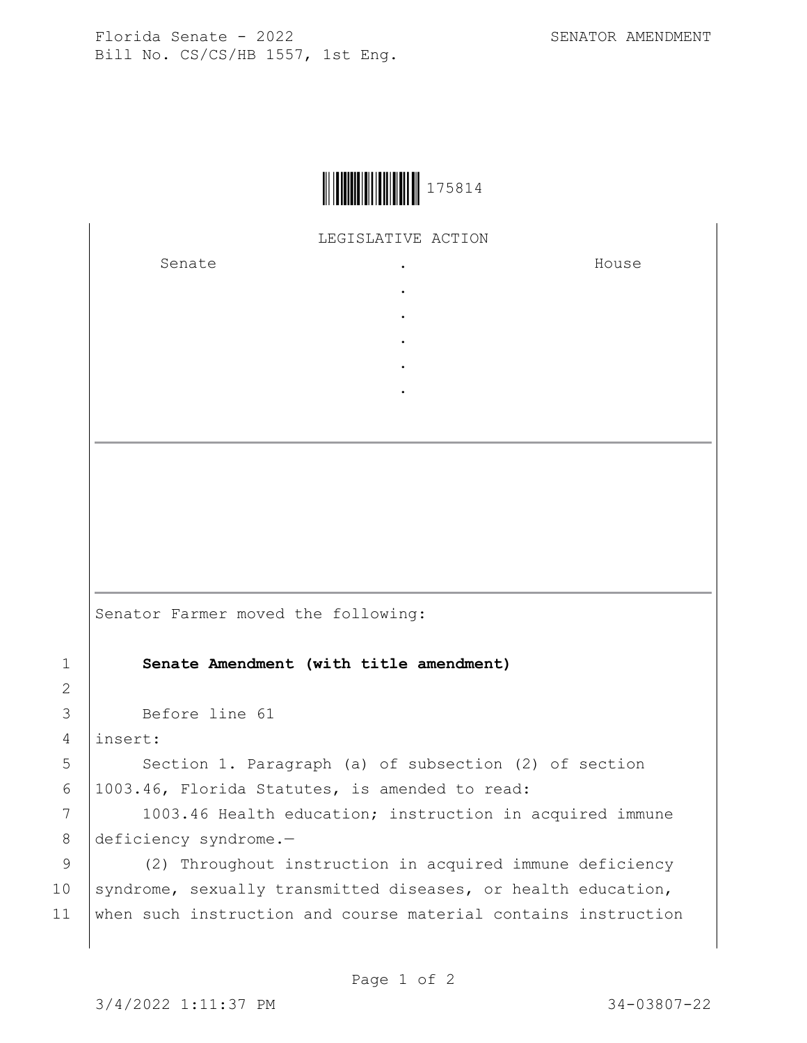

LEGISLATIVE ACTION

. . . . .

Senate .

House

Senator Farmer moved the following:

1 **Senate Amendment (with title amendment)**

3 Before line 61

4 insert:

2

5 Section 1. Paragraph (a) of subsection (2) of section 6 1003.46, Florida Statutes, is amended to read:

7 | 1003.46 Health education; instruction in acquired immune 8 deficiency syndrome.—

9 (2) Throughout instruction in acquired immune deficiency 10 syndrome, sexually transmitted diseases, or health education, 11 when such instruction and course material contains instruction